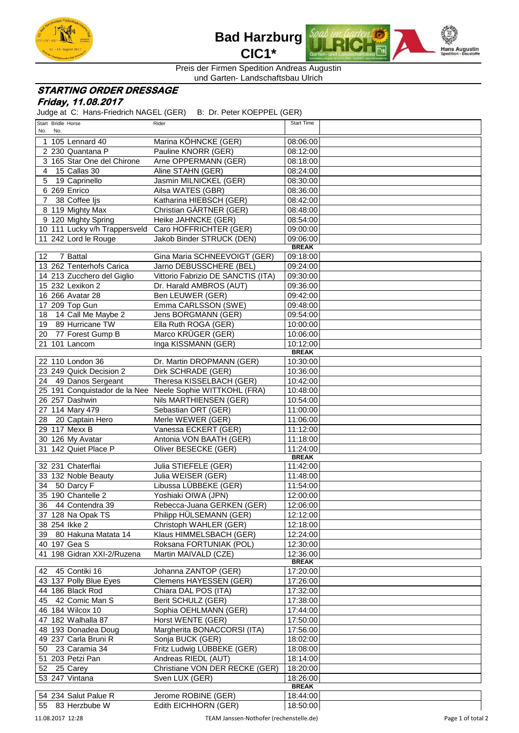



Preis der Firmen Spedition Andreas Augustin und Garten- Landschaftsbau Ulrich

## **STARTING ORDER DRESSAGE**

## **Friday, 11.08.2017**

Judge at C: Hans-Friedrich NAGEL (GER) B: Dr. Peter KOEPPEL (GER)

| Start Bridle Horse<br>No. No.                        | Rider                                                     | <b>Start Time</b> |
|------------------------------------------------------|-----------------------------------------------------------|-------------------|
|                                                      |                                                           |                   |
| 1 105 Lennard 40                                     | Marina KÖHNCKE (GER)                                      | 08:06:00          |
| 2 230 Quantana P                                     | Pauline KNORR (GER)                                       | 08:12:00          |
| 3 165 Star One del Chirone                           | Arne OPPERMANN (GER)                                      | 08:18:00          |
| 15 Callas 30<br>4                                    | Aline STAHN (GER)                                         | 08:24:00          |
| 19 Caprinello<br>5                                   | Jasmin MILNICKEL (GER)                                    | 08:30:00          |
| 6 269 Enrico                                         | Ailsa WATES (GBR)                                         | 08:36:00          |
| 38 Coffee lis<br>$\overline{7}$                      | Katharina HIEBSCH (GER)                                   | 08:42:00          |
| 8 119 Mighty Max                                     | Christian GÄRTNER (GER)                                   | 08:48:00          |
| 9 120 Mighty Spring                                  | Heike JAHNCKE (GER)                                       | 08:54:00          |
| 10 111 Lucky v/h Trappersveld Caro HOFFRICHTER (GER) |                                                           | 09:00:00          |
| 11 242 Lord le Rouge                                 | Jakob Binder STRUCK (DEN)                                 | 09:06:00          |
|                                                      |                                                           | <b>BREAK</b>      |
| 7 Battal<br>12 <sup>1</sup>                          | Gina Maria SCHNEEVOIGT (GER)                              | 09:18:00          |
| 13 262 Tenterhofs Carica                             | Jarno DEBUSSCHERE (BEL)                                   | 09:24:00          |
| 14 213 Zucchero del Giglio                           | Vittorio Fabrizio DE SANCTIS (ITA)                        | 09:30:00          |
| 15 232 Lexikon 2                                     | Dr. Harald AMBROS (AUT)                                   | 09:36:00          |
| 16 266 Avatar 28                                     | Ben LEUWER (GER)                                          | 09:42:00          |
| 17 209 Top Gun                                       | Emma CARLSSON (SWE)                                       | 09:48:00          |
| 18 14 Call Me Maybe 2                                | Jens BORGMANN (GER)                                       | 09:54:00          |
| 19 89 Hurricane TW                                   | Ella Ruth ROGA (GER)                                      | 10:00:00          |
| 20 77 Forest Gump B                                  | Marco KRÜGER (GER)                                        | 10:06:00          |
| 21 101 Lancom                                        | Inga KISSMANN (GER)                                       | 10:12:00          |
|                                                      |                                                           | <b>BREAK</b>      |
| 22 110 London 36                                     | Dr. Martin DROPMANN (GER)                                 | 10:30:00          |
| 23 249 Quick Decision 2                              | Dirk SCHRADE (GER)                                        | 10:36:00          |
| 24 49 Danos Sergeant                                 | Theresa KISSELBACH (GER)                                  | 10:42:00          |
|                                                      | 25 191 Conquistador de la Nee Neele Sophie WITTKOHL (FRA) | 10:48:00          |
| 26 257 Dashwin                                       | Nils MARTHIENSEN (GER)                                    | 10:54:00          |
| 27 114 Mary 479                                      | Sebastian ORT (GER)                                       | 11:00:00          |
| 20 Captain Hero<br>28                                | Merle WEWER (GER)                                         | 11:06:00          |
| 29 117 Mexx B                                        | Vanessa ECKERT (GER)                                      | 11:12:00          |
| 30 126 My Avatar                                     | Antonia VON BAATH (GER)                                   | 11:18:00          |
| 31 142 Quiet Place P                                 | Oliver BESECKE (GER)                                      | 11:24:00          |
|                                                      |                                                           | <b>BREAK</b>      |
| 32 231 Chaterflai                                    | Julia STIEFELE (GER)                                      | 11:42:00          |
| 33 132 Noble Beauty                                  | Julia WEISER (GER)                                        | 11:48:00          |
| 34 50 Darcy F                                        | Libussa LÜBBEKE (GER)                                     | 11:54:00          |
| 35 190 Chantelle 2                                   | Yoshiaki OIWA (JPN)                                       | 12:00:00          |
| 36 44 Contendra 39                                   | Rebecca-Juana GERKEN (GER)                                | 12:06:00          |
| 37 128 Na Opak TS                                    | Philipp HÜLSEMANN (GER)                                   | 12:12:00          |
| 38 254 lkke 2                                        | Christoph WAHLER (GER)                                    | 12:18:00          |
| 39 80 Hakuna Matata 14                               | Klaus HIMMELSBACH (GER)                                   | 12:24:00          |
| 40 197 Gea S                                         | Roksana FORTUNIAK (POL)                                   | 12:30:00          |
| 41 198 Gidran XXI-2/Ruzena                           | Martin MAIVALD (CZE)                                      | 12:36:00          |
|                                                      |                                                           | <b>BREAK</b>      |
| 42 45 Contiki 16                                     | Johanna ZANTOP (GER)                                      | 17:20:00          |
| 43 137 Polly Blue Eyes                               | Clemens HAYESSEN (GER)                                    | 17:26:00          |
| 44 186 Black Rod                                     | Chiara DAL POS (ITA)                                      | 17:32:00          |
| 45 42 Comic Man S                                    | Berit SCHULZ (GER)                                        | 17:38:00          |
| 46 184 Wilcox 10                                     | Sophia OEHLMANN (GER)                                     | 17:44:00          |
| 47 182 Walhalla 87                                   | Horst WENTE (GER)                                         | 17:50:00          |
| 48 193 Donadea Doug                                  | Margherita BONACCORSI (ITA)                               | 17:56:00          |
| 49 237 Carla Bruni R                                 | Sonja BUCK (GER)                                          | 18:02:00          |
| 50 23 Caramia 34                                     | Fritz Ludwig LÜBBEKE (GER)                                | 18:08:00          |
| 51 203 Petzi Pan                                     | Andreas RIEDL (AUT)                                       | 18:14:00          |
| 52 25 Carey                                          |                                                           |                   |
|                                                      | Christiane VON DER RECKE (GER)                            | 18:20:00          |
|                                                      |                                                           | 18:26:00          |
| 53 247 Vintana                                       | Sven LUX (GER)                                            | <b>BREAK</b>      |
| 54 234 Salut Palue R                                 | Jerome ROBINE (GER)<br>Edith EICHHORN (GER)               | 18:44:00          |